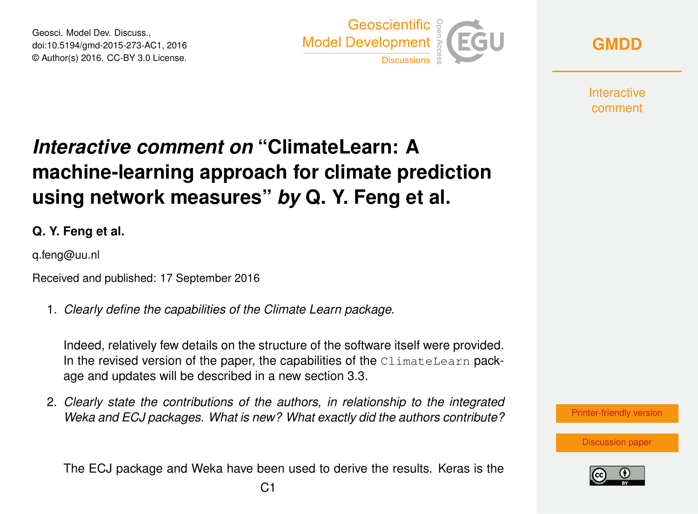Geosci. Model Dev. Discuss., doi:10.5194/gmd-2015-273-AC1, 2016 © Author(s) 2016. CC-BY 3.0 License.





**Interactive** comment

## *Interactive comment on* **"ClimateLearn: A machine-learning approach for climate prediction using network measures"** *by* **Q. Y. Feng et al.**

**Q. Y. Feng et al.**

q.feng@uu.nl

Received and published: 17 September 2016

1. *Clearly define the capabilities of the Climate Learn package.*

Indeed, relatively few details on the structure of the software itself were provided. In the revised version of the paper, the capabilities of the  $\texttt{ClimateLearn}$  package and updates will be described in a new section 3.3.

2. *Clearly state the contributions of the authors, in relationship to the integrated Weka and ECJ packages. What is new? What exactly did the authors contribute?*

The ECJ package and Weka have been used to derive the results. Keras is the



[Discussion paper](http://www.geosci-model-dev-discuss.net/gmd-2015-273)

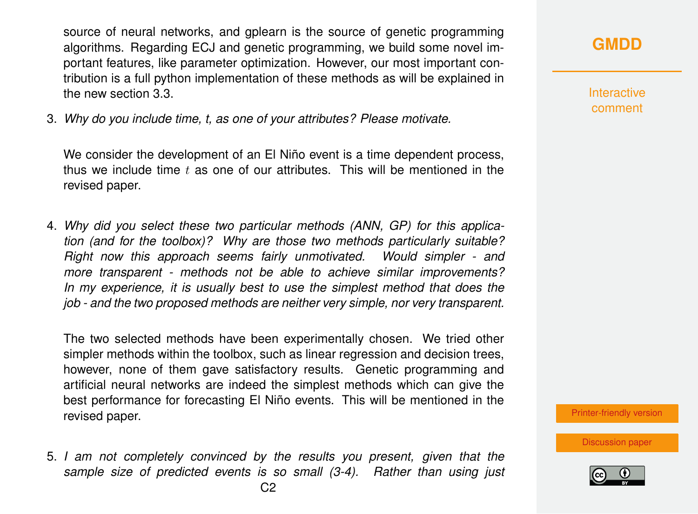source of neural networks, and gplearn is the source of genetic programming algorithms. Regarding ECJ and genetic programming, we build some novel important features, like parameter optimization. However, our most important contribution is a full python implementation of these methods as will be explained in the new section 3.3.

3. *Why do you include time, t, as one of your attributes? Please motivate.*

We consider the development of an El Niño event is a time dependent process, thus we include time  $t$  as one of our attributes. This will be mentioned in the revised paper.

4. *Why did you select these two particular methods (ANN, GP) for this application (and for the toolbox)? Why are those two methods particularly suitable? Right now this approach seems fairly unmotivated. Would simpler - and more transparent - methods not be able to achieve similar improvements? In my experience, it is usually best to use the simplest method that does the job - and the two proposed methods are neither very simple, nor very transparent.*

The two selected methods have been experimentally chosen. We tried other simpler methods within the toolbox, such as linear regression and decision trees, however, none of them gave satisfactory results. Genetic programming and artificial neural networks are indeed the simplest methods which can give the best performance for forecasting El Niño events. This will be mentioned in the revised paper.

5. *I am not completely convinced by the results you present, given that the sample size of predicted events is so small (3-4). Rather than using just* **Interactive** comment

[Printer-friendly version](http://www.geosci-model-dev-discuss.net/gmd-2015-273/gmd-2015-273-AC1-print.pdf)

[Discussion paper](http://www.geosci-model-dev-discuss.net/gmd-2015-273)